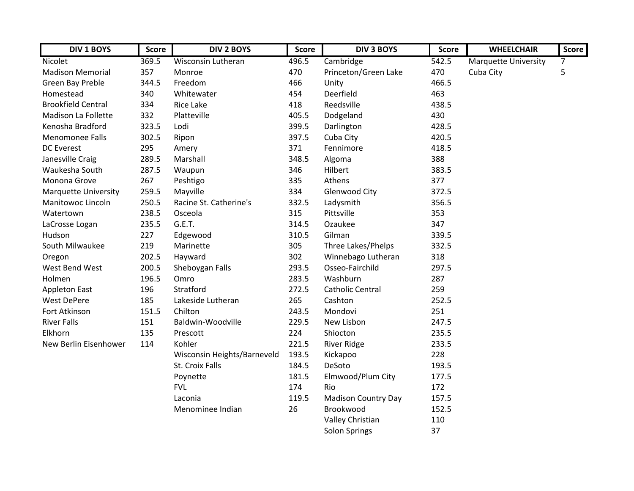| <b>DIV 1 BOYS</b>           | <b>Score</b> | <b>DIV 2 BOYS</b>           | <b>Score</b> | <b>DIV 3 BOYS</b>          | <b>Score</b> | <b>WHEELCHAIR</b>           | <b>Score</b> |
|-----------------------------|--------------|-----------------------------|--------------|----------------------------|--------------|-----------------------------|--------------|
| Nicolet                     | 369.5        | <b>Wisconsin Lutheran</b>   | 496.5        | Cambridge                  | 542.5        | <b>Marquette University</b> | 7            |
| <b>Madison Memorial</b>     | 357          | Monroe                      | 470          | Princeton/Green Lake       | 470          | Cuba City                   | 5            |
| Green Bay Preble            | 344.5        | Freedom                     | 466          | Unity                      | 466.5        |                             |              |
| Homestead                   | 340          | Whitewater                  | 454          | Deerfield                  | 463          |                             |              |
| <b>Brookfield Central</b>   | 334          | Rice Lake                   | 418          | Reedsville                 | 438.5        |                             |              |
| Madison La Follette         | 332          | Platteville                 | 405.5        | Dodgeland                  | 430          |                             |              |
| Kenosha Bradford            | 323.5        | Lodi                        | 399.5        | Darlington                 | 428.5        |                             |              |
| <b>Menomonee Falls</b>      | 302.5        | Ripon                       | 397.5        | Cuba City                  | 420.5        |                             |              |
| <b>DC</b> Everest           | 295          | Amery                       | 371          | Fennimore                  | 418.5        |                             |              |
| Janesville Craig            | 289.5        | Marshall                    | 348.5        | Algoma                     | 388          |                             |              |
| Waukesha South              | 287.5        | Waupun                      | 346          | Hilbert                    | 383.5        |                             |              |
| Monona Grove                | 267          | Peshtigo                    | 335          | Athens                     | 377          |                             |              |
| <b>Marquette University</b> | 259.5        | Mayville                    | 334          | <b>Glenwood City</b>       | 372.5        |                             |              |
| Manitowoc Lincoln           | 250.5        | Racine St. Catherine's      | 332.5        | Ladysmith                  | 356.5        |                             |              |
| Watertown                   | 238.5        | Osceola                     | 315          | Pittsville                 | 353          |                             |              |
| LaCrosse Logan              | 235.5        | G.E.T.                      | 314.5        | Ozaukee                    | 347          |                             |              |
| Hudson                      | 227          | Edgewood                    | 310.5        | Gilman                     | 339.5        |                             |              |
| South Milwaukee             | 219          | Marinette                   | 305          | Three Lakes/Phelps         | 332.5        |                             |              |
| Oregon                      | 202.5        | Hayward                     | 302          | Winnebago Lutheran         | 318          |                             |              |
| West Bend West              | 200.5        | Sheboygan Falls             | 293.5        | Osseo-Fairchild            | 297.5        |                             |              |
| Holmen                      | 196.5        | Omro                        | 283.5        | Washburn                   | 287          |                             |              |
| <b>Appleton East</b>        | 196          | Stratford                   | 272.5        | <b>Catholic Central</b>    | 259          |                             |              |
| <b>West DePere</b>          | 185          | Lakeside Lutheran           | 265          | Cashton                    | 252.5        |                             |              |
| Fort Atkinson               | 151.5        | Chilton                     | 243.5        | Mondovi                    | 251          |                             |              |
| <b>River Falls</b>          | 151          | Baldwin-Woodville           | 229.5        | New Lisbon                 | 247.5        |                             |              |
| Elkhorn                     | 135          | Prescott                    | 224          | Shiocton                   | 235.5        |                             |              |
| New Berlin Eisenhower       | 114          | Kohler                      | 221.5        | <b>River Ridge</b>         | 233.5        |                             |              |
|                             |              | Wisconsin Heights/Barneveld | 193.5        | Kickapoo                   | 228          |                             |              |
|                             |              | St. Croix Falls             | 184.5        | DeSoto                     | 193.5        |                             |              |
|                             |              | Poynette                    | 181.5        | Elmwood/Plum City          | 177.5        |                             |              |
|                             |              | <b>FVL</b>                  | 174          | Rio                        | 172          |                             |              |
|                             |              | Laconia                     | 119.5        | <b>Madison Country Day</b> | 157.5        |                             |              |
|                             |              | Menominee Indian            | 26           | Brookwood                  | 152.5        |                             |              |
|                             |              |                             |              | Valley Christian           | 110          |                             |              |
|                             |              |                             |              | Solon Springs              | 37           |                             |              |